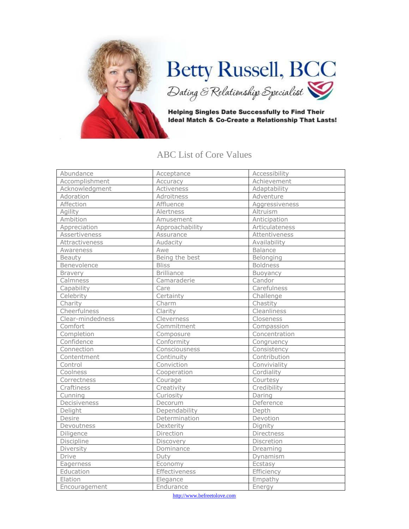

## Betty Russell, BCC<br>Dating & Relationship Epecialist

**Helping Singles Date Successfully to Find Their** Ideal Match & Co-Create a Relationship That Lasts!

## ABC List of Core Values

| Abundance        | Acceptance        | Accessibility   |
|------------------|-------------------|-----------------|
| Accomplishment   | Accuracy          | Achievement     |
| Acknowledgment   | Activeness        | Adaptability    |
| Adoration        | Adroitness        | Adventure       |
| Affection        | Affluence         | Aggressiveness  |
| Agility          | Alertness         | Altruism        |
| Ambition         | Amusement         | Anticipation    |
| Appreciation     | Approachability   | Articulateness  |
| Assertiveness    | Assurance         | Attentiveness   |
| Attractiveness   | Audacity          | Availability    |
| Awareness        | Awe               | <b>Balance</b>  |
| Beauty           | Being the best    | Belonging       |
| Benevolence      | <b>Bliss</b>      | <b>Boldness</b> |
| <b>Bravery</b>   | <b>Brilliance</b> | Buoyancy        |
| Calmness         | Camaraderie       | Candor          |
| Capability       | Care              | Carefulness     |
| Celebrity        | Certainty         | Challenge       |
| Charity          | Charm             | Chastity        |
| Cheerfulness     | Clarity           | Cleanliness     |
| Clear-mindedness | Cleverness        | Closeness       |
| Comfort          | Commitment        | Compassion      |
| Completion       | Composure         | Concentration   |
| Confidence       | Conformity        | Congruency      |
| Connection       | Consciousness     | Consistency     |
| Contentment      | Continuity        | Contribution    |
| Control          | Conviction        | Conviviality    |
| Coolness         | Cooperation       | Cordiality      |
| Correctness      | Courage           | Courtesy        |
| Craftiness       | Creativity        | Credibility     |
| Cunning          | Curiosity         | Daring          |
| Decisiveness     | Decorum           | Deference       |
| Delight          | Dependability     | Depth           |
| Desire           | Determination     | Devotion        |
| Devoutness       | Dexterity         | Dignity         |
| Diligence        | Direction         | Directness      |
| Discipline       | Discovery         | Discretion      |
| Diversity        | Dominance         | Dreaming        |
| <b>Drive</b>     | Duty              | Dynamism        |
| Eagerness        | Economy           | Ecstasy         |
| Education        | Effectiveness     | Efficiency      |
| Elation          | Elegance          | Empathy         |
| Encouragement    | Endurance         | Energy          |

http://www.befreetolove.com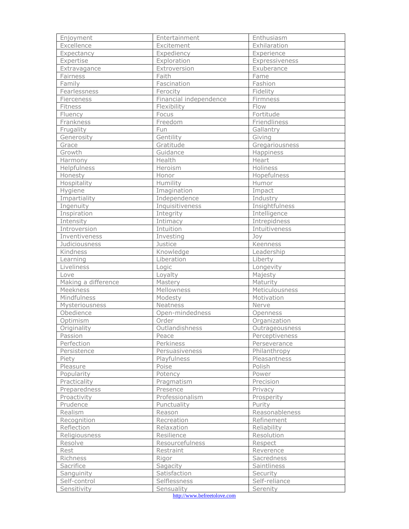| Enjoyment           | Entertainment          | Enthusiasm     |
|---------------------|------------------------|----------------|
| Excellence          | Excitement             | Exhilaration   |
| Expectancy          | Expediency             | Experience     |
| Expertise           | Exploration            | Expressiveness |
| Extravagance        | Extroversion           | Exuberance     |
| Fairness            | Faith                  | Fame           |
| Family              | Fascination            | Fashion        |
| Fearlessness        | Ferocity               | Fidelity       |
| Fierceness          | Financial independence | Firmness       |
| Fitness             | Flexibility            | Flow           |
| Fluency             | Focus                  | Fortitude      |
| Frankness           | Freedom                | Friendliness   |
| Frugality           | Fun                    | Gallantry      |
| Generosity          | Gentility              | Giving         |
| Grace               | Gratitude              | Gregariousness |
| Growth              | Guidance               | Happiness      |
| Harmony             | Health                 | Heart          |
| Helpfulness         | Heroism                | Holiness       |
| Honesty             | Honor                  | Hopefulness    |
| Hospitality         | Humility               | <b>Humor</b>   |
| Hygiene             | Imagination            | Impact         |
| Impartiality        | Independence           | Industry       |
| Ingenuity           | Inquisitiveness        | Insightfulness |
| Inspiration         | Integrity              | Intelligence   |
| Intensity           | Intimacy               | Intrepidness   |
| Introversion        | Intuition              | Intuitiveness  |
| Inventiveness       | Investing              | Joy            |
| Judiciousness       | Justice                | Keenness       |
| Kindness            | Knowledge              | Leadership     |
| Learning            | Liberation             | Liberty        |
| Liveliness          | Logic                  | Longevity      |
| Love                | Loyalty                | Majesty        |
| Making a difference | Mastery                | Maturity       |
| Meekness            | Mellowness             | Meticulousness |
| Mindfulness         | Modesty                | Motivation     |
| Mysteriousness      | Neatness               | Nerve          |
| Obedience           | Open-mindedness        | Openness       |
| Optimism            | Order                  | Organization   |
| Originality         | Outlandishness         | Outrageousness |
| Passion             | Peace                  | Perceptiveness |
| Perfection          | Perkiness              | Perseverance   |
| Persistence         | Persuasiveness         | Philanthropy   |
| Piety               | Playfulness            | Pleasantness   |
| Pleasure            | Poise                  | Polish         |
| Popularity          | Potency                | Power          |
| Practicality        | Pragmatism             | Precision      |
| Preparedness        | Presence               | Privacy        |
| Proactivity         | Professionalism        | Prosperity     |
| Prudence            | Punctuality            | Purity         |
| Realism             | Reason                 | Reasonableness |
| Recognition         | Recreation             | Refinement     |
| Reflection          | Relaxation             | Reliability    |
| Religiousness       | Resilience             | Resolution     |
| Resolve             | Resourcefulness        | Respect        |
| Rest                | Restraint              | Reverence      |
| Richness            | Rigor                  | Sacredness     |
| Sacrifice           | Sagacity               | Saintliness    |
| Sanguinity          | Satisfaction           | Security       |
| Self-control        | Selflessness           | Self-reliance  |
| Sensitivity         | Sensuality             | Serenity       |
|                     |                        |                |

http://www.befreetolove.com